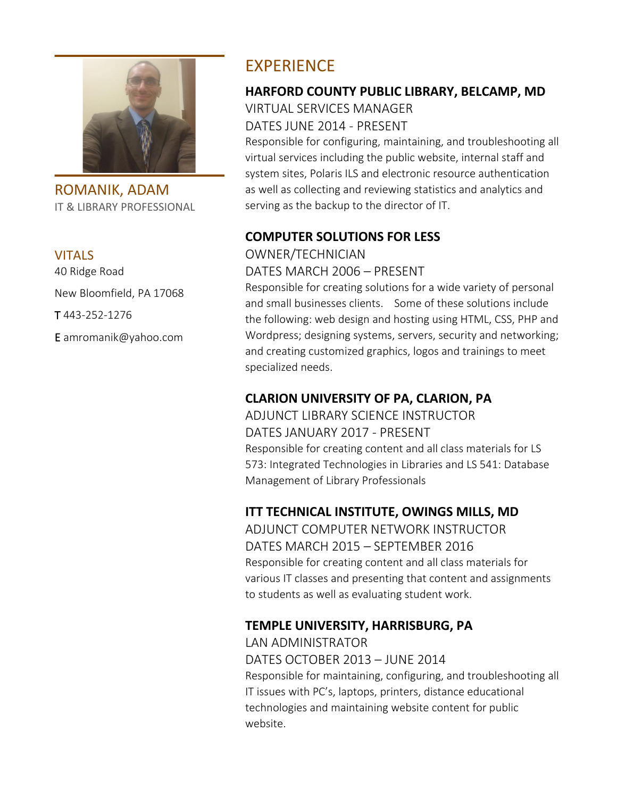

ROMANIK, ADAM IT & LIBRARY PROFESSIONAL

#### VITALS

40 Ridge Road New Bloomfield, PA 17068 T 443-252-1276 E amromanik@yahoo.com

## EXPERIENCE

## **HARFORD COUNTY PUBLIC LIBRARY, BELCAMP, MD**

# VIRTUAL SERVICES MANAGER

DATES JUNE 2014 - PRESENT

Responsible for configuring, maintaining, and troubleshooting all virtual services including the public website, internal staff and system sites, Polaris ILS and electronic resource authentication as well as collecting and reviewing statistics and analytics and serving as the backup to the director of IT.

## **COMPUTER SOLUTIONS FOR LESS**

OWNER/TECHNICIAN

#### DATES MARCH 2006 – PRESENT

Responsible for creating solutions for a wide variety of personal and small businesses clients. Some of these solutions include the following: web design and hosting using HTML, CSS, PHP and Wordpress; designing systems, servers, security and networking; and creating customized graphics, logos and trainings to meet specialized needs.

## **CLARION UNIVERSITY OF PA, CLARION, PA**

ADJUNCT LIBRARY SCIENCE INSTRUCTOR DATES JANUARY 2017 - PRESENT Responsible for creating content and all class materials for LS 573: Integrated Technologies in Libraries and LS 541: Database Management of Library Professionals

## **ITT TECHNICAL INSTITUTE, OWINGS MILLS, MD**

ADJUNCT COMPUTER NETWORK INSTRUCTOR DATES MARCH 2015 – SEPTEMBER 2016 Responsible for creating content and all class materials for various IT classes and presenting that content and assignments to students as well as evaluating student work.

## **TEMPLE UNIVERSITY, HARRISBURG, PA**

LAN ADMINISTRATOR DATES OCTOBER 2013 – JUNE 2014 Responsible for maintaining, configuring, and troubleshooting all IT issues with PC's, laptops, printers, distance educational technologies and maintaining website content for public website.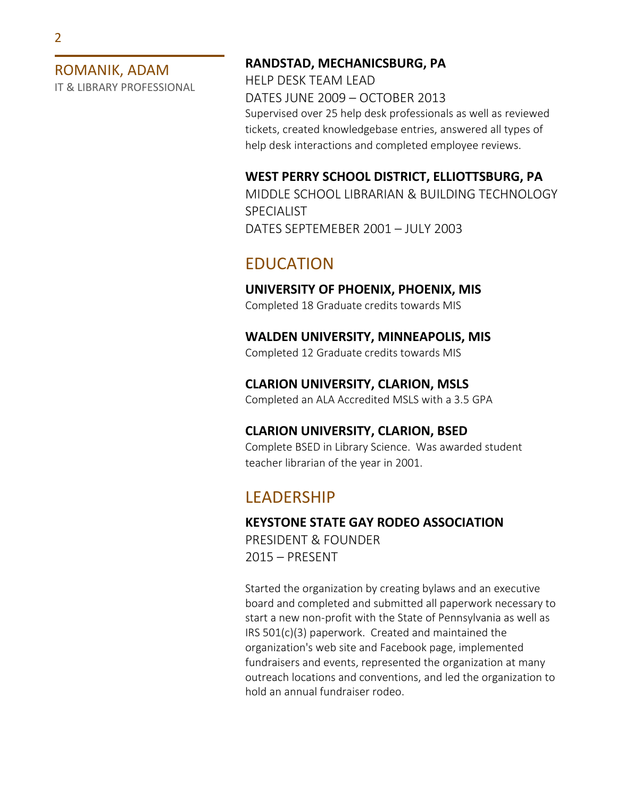ROMANIK, ADAM

IT & LIBRARY PROFESSIONAL

#### **RANDSTAD, MECHANICSBURG, PA**

HELP DESK TEAM LEAD DATES JUNE 2009 – OCTOBER 2013 Supervised over 25 help desk professionals as well as reviewed tickets, created knowledgebase entries, answered all types of help desk interactions and completed employee reviews.

#### **WEST PERRY SCHOOL DISTRICT, ELLIOTTSBURG, PA**

MIDDLE SCHOOL LIBRARIAN & BUILDING TECHNOLOGY SPECIALIST DATES SEPTEMEBER 2001 – JULY 2003

## EDUCATION

**UNIVERSITY OF PHOENIX, PHOENIX, MIS** Completed 18 Graduate credits towards MIS

**WALDEN UNIVERSITY, MINNEAPOLIS, MIS**

Completed 12 Graduate credits towards MIS

**CLARION UNIVERSITY, CLARION, MSLS**

Completed an ALA Accredited MSLS with a 3.5 GPA

#### **CLARION UNIVERSITY, CLARION, BSED**

Complete BSED in Library Science. Was awarded student teacher librarian of the year in 2001.

## **LEADERSHIP**

#### **KEYSTONE STATE GAY RODEO ASSOCIATION**

PRESIDENT & FOUNDER 2015 – PRESENT

Started the organization by creating bylaws and an executive board and completed and submitted all paperwork necessary to start a new non-profit with the State of Pennsylvania as well as IRS 501(c)(3) paperwork. Created and maintained the organization's web site and Facebook page, implemented fundraisers and events, represented the organization at many outreach locations and conventions, and led the organization to hold an annual fundraiser rodeo.